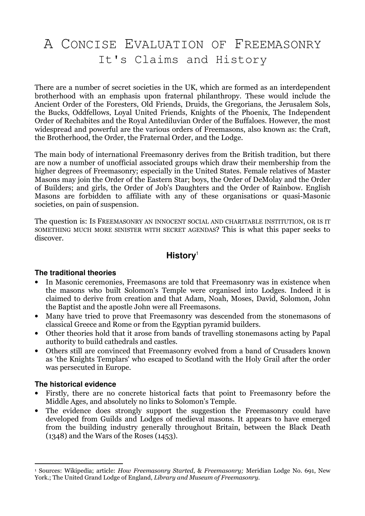# A CONCISE EVALUATION OF FREEMASONRY It's Claims and History

There are a number of secret societies in the UK, which are formed as an interdependent brotherhood with an emphasis upon fraternal philanthropy. These would include the Ancient Order of the Foresters, Old Friends, Druids, the Gregorians, the Jerusalem Sols, the Bucks, Oddfellows, Loyal United Friends, Knights of the Phoenix, The Independent Order of Rechabites and the Royal Antediluvian Order of the Buffaloes. However, the most widespread and powerful are the various orders of Freemasons, also known as: the Craft, the Brotherhood, the Order, the Fraternal Order, and the Lodge.

The main body of international Freemasonry derives from the British tradition, but there are now a number of unofficial associated groups which draw their membership from the higher degrees of Freemasonry; especially in the United States. Female relatives of Master Masons may join the Order of the Eastern Star; boys, the Order of DeMolay and the Order of Builders; and girls, the Order of Job's Daughters and the Order of Rainbow. English Masons are forbidden to affiliate with any of these organisations or quasi-Masonic societies, on pain of suspension.

The question is: IS FREEMASONRY AN INNOCENT SOCIAL AND CHARITABLE INSTITUTION, OR IS IT SOMETHING MUCH MORE SINISTER WITH SECRET AGENDAS? This is what this paper seeks to discover.

# **History**<sup>1</sup>

## **The traditional theories**

- In Masonic ceremonies, Freemasons are told that Freemasonry was in existence when the masons who built Solomon's Temple were organised into Lodges. Indeed it is claimed to derive from creation and that Adam, Noah, Moses, David, Solomon, John the Baptist and the apostle John were all Freemasons.
- Many have tried to prove that Freemasonry was descended from the stonemasons of classical Greece and Rome or from the Egyptian pyramid builders.
- Other theories hold that it arose from bands of travelling stonemasons acting by Papal authority to build cathedrals and castles.
- Others still are convinced that Freemasonry evolved from a band of Crusaders known as 'the Knights Templars' who escaped to Scotland with the Holy Grail after the order was persecuted in Europe.

## **The historical evidence**

- Firstly, there are no concrete historical facts that point to Freemasonry before the Middle Ages, and absolutely no links to Solomon's Temple.
- The evidence does strongly support the suggestion the Freemasonry could have developed from Guilds and Lodges of medieval masons. It appears to have emerged from the building industry generally throughout Britain, between the Black Death (1348) and the Wars of the Roses (1453).

 $\overline{a}$ <sup>1</sup> Sources: Wikipedia; article: *How Freemasonry Started, & Freemasonry; M*eridian Lodge No. 691, New York.; The United Grand Lodge of England, Library and Museum of Freemasonry.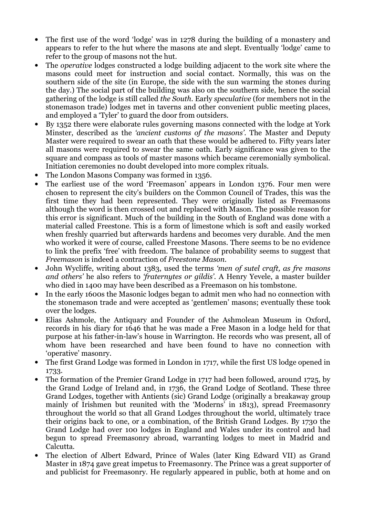- The first use of the word 'lodge' was in 1278 during the building of a monastery and appears to refer to the hut where the masons ate and slept. Eventually 'lodge' came to refer to the group of masons not the hut.
- The *operative* lodges constructed a lodge building adjacent to the work site where the masons could meet for instruction and social contact. Normally, this was on the southern side of the site (in Europe, the side with the sun warming the stones during the day.) The social part of the building was also on the southern side, hence the social gathering of the lodge is still called the South. Early speculative (for members not in the stonemason trade) lodges met in taverns and other convenient public meeting places, and employed a 'Tyler' to guard the door from outsiders.
- By 1352 there were elaborate rules governing masons connected with the lodge at York Minster, described as the 'ancient customs of the masons'. The Master and Deputy Master were required to swear an oath that these would be adhered to. Fifty years later all masons were required to swear the same oath. Early significance was given to the square and compass as tools of master masons which became ceremonially symbolical. Initiation ceremonies no doubt developed into more complex rituals.
- The London Masons Company was formed in 1356.
- The earliest use of the word 'Freemason' appears in London 1376. Four men were chosen to represent the city's builders on the Common Council of Trades, this was the first time they had been represented. They were originally listed as Freemasons although the word is then crossed out and replaced with Mason. The possible reason for this error is significant. Much of the building in the South of England was done with a material called Freestone. This is a form of limestone which is soft and easily worked when freshly quarried but afterwards hardens and becomes very durable. And the men who worked it were of course, called Freestone Masons. There seems to be no evidence to link the prefix 'free' with freedom. The balance of probability seems to suggest that Freemason is indeed a contraction of Freestone Mason.
- John Wycliffe, writing about 1383, used the terms 'men of sutel craft, as fre masons and others' he also refers to 'fraternytes or gildis'. A Henry Yevele, a master builder who died in 1400 may have been described as a Freemason on his tombstone.
- In the early 1600s the Masonic lodges began to admit men who had no connection with the stonemason trade and were accepted as 'gentlemen' masons; eventually these took over the lodges.
- Elias Ashmole, the Antiquary and Founder of the Ashmolean Museum in Oxford, records in his diary for 1646 that he was made a Free Mason in a lodge held for that purpose at his father-in-law's house in Warrington. He records who was present, all of whom have been researched and have been found to have no connection with 'operative' masonry.
- The first Grand Lodge was formed in London in 1717, while the first US lodge opened in 1733.
- The formation of the Premier Grand Lodge in 1717 had been followed, around 1725, by the Grand Lodge of Ireland and, in 1736, the Grand Lodge of Scotland. These three Grand Lodges, together with Antients (sic) Grand Lodge (originally a breakaway group mainly of Irishmen but reunited with the 'Moderns' in 1813), spread Freemasonry throughout the world so that all Grand Lodges throughout the world, ultimately trace their origins back to one, or a combination, of the British Grand Lodges. By 1730 the Grand Lodge had over 100 lodges in England and Wales under its control and had begun to spread Freemasonry abroad, warranting lodges to meet in Madrid and Calcutta.
- The election of Albert Edward, Prince of Wales (later King Edward VII) as Grand Master in 1874 gave great impetus to Freemasonry. The Prince was a great supporter of and publicist for Freemasonry. He regularly appeared in public, both at home and on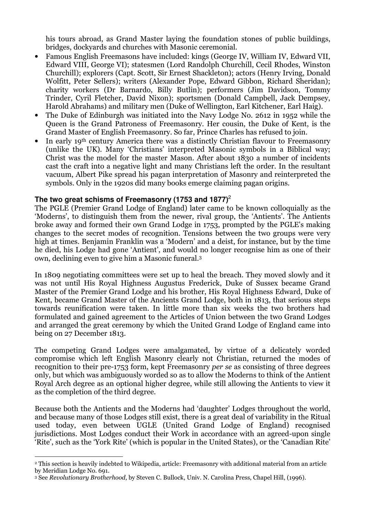his tours abroad, as Grand Master laying the foundation stones of public buildings, bridges, dockyards and churches with Masonic ceremonial.

- Famous English Freemasons have included: kings (George IV, William IV, Edward VII, Edward VIII, George VI); statesmen (Lord Randolph Churchill, Cecil Rhodes, Winston Churchill); explorers (Capt. Scott, Sir Ernest Shackleton); actors (Henry Irving, Donald Wolfitt, Peter Sellers); writers (Alexander Pope, Edward Gibbon, Richard Sheridan); charity workers (Dr Barnardo, Billy Butlin); performers (Jim Davidson, Tommy Trinder, Cyril Fletcher, David Nixon); sportsmen (Donald Campbell, Jack Dempsey, Harold Abrahams) and military men (Duke of Wellington, Earl Kitchener, Earl Haig).
- The Duke of Edinburgh was initiated into the Navy Lodge No. 2612 in 1952 while the Queen is the Grand Patroness of Freemasonry. Her cousin, the Duke of Kent, is the Grand Master of English Freemasonry. So far, Prince Charles has refused to join.
- In early 19<sup>th</sup> century America there was a distinctly Christian flavour to Freemasonry (unlike the UK). Many 'Christians' interpreted Masonic symbols in a Biblical way; Christ was the model for the master Mason. After about 1830 a number of incidents cast the craft into a negative light and many Christians left the order. In the resultant vacuum, Albert Pike spread his pagan interpretation of Masonry and reinterpreted the symbols. Only in the 1920s did many books emerge claiming pagan origins.

# **The two great schisms of Freemasonry (1753 and 1877)** 2

The PGLE (Premier Grand Lodge of England) later came to be known colloquially as the 'Moderns', to distinguish them from the newer, rival group, the 'Antients'. The Antients broke away and formed their own Grand Lodge in 1753, prompted by the PGLE's making changes to the secret modes of recognition. Tensions between the two groups were very high at times. Benjamin Franklin was a 'Modern' and a deist, for instance, but by the time he died, his Lodge had gone 'Antient', and would no longer recognise him as one of their own, declining even to give him a Masonic funeral.<sup>3</sup>

In 1809 negotiating committees were set up to heal the breach. They moved slowly and it was not until His Royal Highness Augustus Frederick, Duke of Sussex became Grand Master of the Premier Grand Lodge and his brother, His Royal Highness Edward, Duke of Kent, became Grand Master of the Ancients Grand Lodge, both in 1813, that serious steps towards reunification were taken. In little more than six weeks the two brothers had formulated and gained agreement to the Articles of Union between the two Grand Lodges and arranged the great ceremony by which the United Grand Lodge of England came into being on 27 December 1813.

The competing Grand Lodges were amalgamated, by virtue of a delicately worded compromise which left English Masonry clearly not Christian, returned the modes of recognition to their pre-1753 form, kept Freemasonry per se as consisting of three degrees only, but which was ambiguously worded so as to allow the Moderns to think of the Antient Royal Arch degree as an optional higher degree, while still allowing the Antients to view it as the completion of the third degree.

Because both the Antients and the Moderns had 'daughter' Lodges throughout the world, and because many of those Lodges still exist, there is a great deal of variability in the Ritual used today, even between UGLE (United Grand Lodge of England) recognised jurisdictions. Most Lodges conduct their Work in accordance with an agreed-upon single 'Rite', such as the 'York Rite' (which is popular in the United States), or the 'Canadian Rite'

 $\overline{a}$ <sup>2</sup> This section is heavily indebted to Wikipedia, article: Freemasonry with additional material from an article by Meridian Lodge No. 691.

<sup>3</sup> See Revolutionary Brotherhood, by Steven C. Bullock, Univ. N. Carolina Press, Chapel Hill, (1996).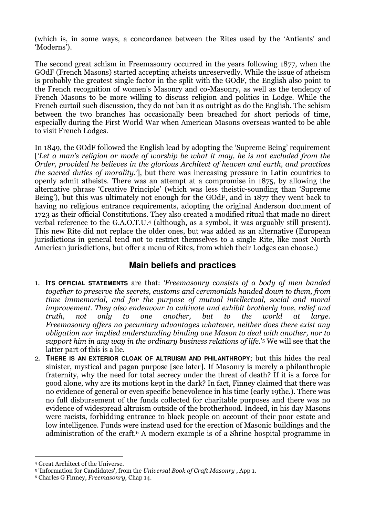(which is, in some ways, a concordance between the Rites used by the 'Antients' and 'Moderns').

The second great schism in Freemasonry occurred in the years following 1877, when the GOdF (French Masons) started accepting atheists unreservedly. While the issue of atheism is probably the greatest single factor in the split with the GOdF, the English also point to the French recognition of women's Masonry and co-Masonry, as well as the tendency of French Masons to be more willing to discuss religion and politics in Lodge. While the French curtail such discussion, they do not ban it as outright as do the English. The schism between the two branches has occasionally been breached for short periods of time, especially during the First World War when American Masons overseas wanted to be able to visit French Lodges.

In 1849, the GOdF followed the English lead by adopting the 'Supreme Being' requirement ['Let a man's religion or mode of worship be what it may, he is not excluded from the Order, provided he believes in the glorious Architect of heaven and earth, and practices the sacred duties of morality.'], but there was increasing pressure in Latin countries to openly admit atheists. There was an attempt at a compromise in 1875, by allowing the alternative phrase 'Creative Principle' (which was less theistic-sounding than 'Supreme Being'), but this was ultimately not enough for the GOdF, and in 1877 they went back to having no religious entrance requirements, adopting the original Anderson document of 1723 as their official Constitutions. They also created a modified ritual that made no direct verbal reference to the G.A.O.T.U.4 (although, as a symbol, it was arguably still present). This new Rite did not replace the older ones, but was added as an alternative (European jurisdictions in general tend not to restrict themselves to a single Rite, like most North American jurisdictions, but offer a menu of Rites, from which their Lodges can choose.)

# **Main beliefs and practices**

- 1. **ITS OFFICIAL STATEMENTS** are that: 'Freemasonry consists of a body of men banded together to preserve the secrets, customs and ceremonials handed down to them, from time immemorial, and for the purpose of mutual intellectual, social and moral improvement. They also endeavour to cultivate and exhibit brotherly love, relief and truth, not only to one another, but to the world at large. Freemasonry offers no pecuniary advantages whatever, neither does there exist any obligation nor implied understanding binding one Mason to deal with another, nor to support him in any way in the ordinary business relations of life.'5 We will see that the latter part of this is a lie.
- 2. **THERE IS AN EXTERIOR CLOAK OF ALTRUISM AND PHILANTHROPY**; but this hides the real sinister, mystical and pagan purpose [see later]. If Masonry is merely a philanthropic fraternity, why the need for total secrecy under the threat of death? If it is a force for good alone, why are its motions kept in the dark? In fact, Finney claimed that there was no evidence of general or even specific benevolence in his time (early 19thc.). There was no full disbursement of the funds collected for charitable purposes and there was no evidence of widespread altruism outside of the brotherhood. Indeed, in his day Masons were racists, forbidding entrance to black people on account of their poor estate and low intelligence. Funds were instead used for the erection of Masonic buildings and the administration of the craft.6 A modern example is of a Shrine hospital programme in

 $\overline{a}$ <sup>4</sup> Great Architect of the Universe.

<sup>5</sup> 'Information for Candidates', from the Universal Book of Craft Masonry , App 1.

<sup>6</sup> Charles G Finney, Freemasonry, Chap 14.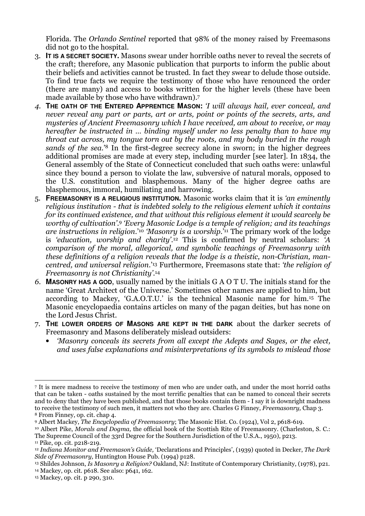Florida. The Orlando Sentinel reported that 98% of the money raised by Freemasons did not go to the hospital.

- 3. **IT IS A SECRET SOCIETY.** Masons swear under horrible oaths never to reveal the secrets of the craft; therefore, any Masonic publication that purports to inform the public about their beliefs and activities cannot be trusted. In fact they swear to delude those outside. To find true facts we require the testimony of those who have renounced the order (there are many) and access to books written for the higher levels (these have been made available by those who have withdrawn).<sup>7</sup>
- 4. **THE OATH OF THE ENTERED APPRENTICE MASON:** 'I will always hail, ever conceal, and never reveal any part or parts, art or arts, point or points of the secrets, arts, and mysteries of Ancient Freemasonry which I have received, am about to receive, or may hereafter be instructed in … binding myself under no less penalty than to have my throat cut across, my tongue torn out by the roots, and my body buried in the rough sands of the sea.'<sup>8</sup> In the first-degree secrecy alone in sworn; in the higher degrees additional promises are made at every step, including murder [see later]. In 1834, the General assembly of the State of Connecticut concluded that such oaths were: unlawful since they bound a person to violate the law, subversive of natural morals, opposed to the U.S. constitution and blasphemous. Many of the higher degree oaths are blasphemous, immoral, humiliating and harrowing.
- 5. **FREEMASONRY IS A RELIGIOUS INSTITUTION.** Masonic works claim that it is 'an eminently religious institution - that is indebted solely to the religious element which it contains for its continued existence, and that without this religious element it would scarcely be worthy of cultivation'. <sup>9</sup> 'Every Masonic Lodge is a temple of religion; and its teachings are instructions in religion.<sup>'10</sup> 'Masonru is a worship.<sup>'11</sup> The primary work of the lodge is 'education, worship and charity'. <sup>12</sup> This is confirmed by neutral scholars: 'A comparison of the moral, allegorical, and symbolic teachings of Freemasonry with these definitions of a religion reveals that the lodge is a theistic, non-Christian, mancentred, and universal religion.'13 Furthermore, Freemasons state that: 'the religion of Freemasonry is not Christianity'.<sup>14</sup>
- 6. **MASONRY HAS A GOD**, usually named by the initials G A O T U. The initials stand for the name 'Great Architect of the Universe.' Sometimes other names are applied to him, but according to Mackey, 'G.A.O.T.U.' is the technical Masonic name for him.15 The Masonic encyclopaedia contains articles on many of the pagan deities, but has none on the Lord Jesus Christ.
- 7. **THE LOWER ORDERS OF MASONS ARE KEPT IN THE DARK** about the darker secrets of Freemasonry and Masons deliberately mislead outsiders:
	- 'Masonry conceals its secrets from all except the Adepts and Sages, or the elect, and uses false explanations and misinterpretations of its symbols to mislead those

<sup>13</sup> Shildes Johnson, Is Masonry a Religion? Oakland, NJ: Institute of Contemporary Christianity, (1978), p21. <sup>14</sup> Mackey, op. cit. p618. See also: p641, 162.

 $\overline{a}$ 7 It is mere madness to receive the testimony of men who are under oath, and under the most horrid oaths that can be taken - oaths sustained by the most terrific penalties that can be named to conceal their secrets and to deny that they have been published, and that those books contain them - I say it is downright madness to receive the testimony of such men, it matters not who they are. Charles G Finney, Freemasonry, Chap 3. <sup>8</sup> From Finney, op. cit. chap 4.

<sup>9</sup> Albert Mackey, The Encyclopedia of Freemasonry; The Masonic Hist. Co. (1924), Vol 2, p618-619.

<sup>10</sup> Albert Pike, Morals and Dogma, the official book of the Scottish Rite of Freemasonry. (Charleston, S. C.: The Supreme Council of the 33rd Degree for the Southern Jurisdiction of the U.S.A., 1950), p213.

<sup>11</sup> Pike, op. cit. p218-219.

<sup>&</sup>lt;sup>12</sup> Indiana Monitor and Freemason's Guide, 'Declarations and Principles', (1939) quoted in Decker, The Dark Side of Freemasonry, Huntington House Pub. (1994) p128.

<sup>15</sup> Mackey, op. cit. p 290, 310.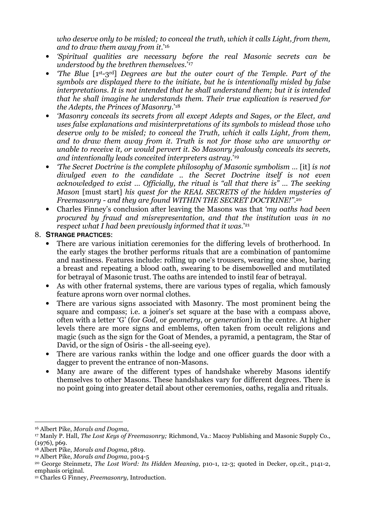who deserve only to be misled; to conceal the truth, which it calls Light, from them, and to draw them away from it.'<sup>16</sup>

- 'Spiritual qualities are necessary before the real Masonic secrets can be understood by the brethren themselves.'<sup>17</sup>
- 'The Blue [1st-3rd] Degrees are but the outer court of the Temple. Part of the symbols are displayed there to the initiate, but he is intentionally misled by false interpretations. It is not intended that he shall understand them; but it is intended that he shall imagine he understands them. Their true explication is reserved for the Adepts, the Princes of Masonry.'<sup>18</sup>
- 'Masonry conceals its secrets from all except Adepts and Sages, or the Elect, and uses false explanations and misinterpretations of its symbols to mislead those who deserve only to be misled; to conceal the Truth, which it calls Light, from them, and to draw them away from it. Truth is not for those who are unworthy or unable to receive it, or would pervert it. So Masonry jealously conceals its secrets, and intentionally leads conceited interpreters astray.'<sup>19</sup>
- The Secret Doctrine is the complete philosophy of Masonic symbolism ... [it] is not divulged even to the candidate .. the Secret Doctrine itself is not even acknowledged to exist … Officially, the ritual is "all that there is" … The seeking Mason [must start] his quest for the REAL SECRETS of the hidden mysteries of Freemasonry - and they are found WITHIN THE SECRET DOCTRINE!''. 20
- Charles Finney's conclusion after leaving the Masons was that 'my oaths had been procured by fraud and misrepresentation, and that the institution was in no respect what I had been previously informed that it was.'<sup>21</sup>

## 8. **STRANGE PRACTICES**:

- There are various initiation ceremonies for the differing levels of brotherhood. In the early stages the brother performs rituals that are a combination of pantomime and nastiness. Features include: rolling up one's trousers, wearing one shoe, baring a breast and repeating a blood oath, swearing to be disembowelled and mutilated for betrayal of Masonic trust. The oaths are intended to instil fear of betrayal.
- As with other fraternal systems, there are various types of regalia, which famously feature aprons worn over normal clothes.
- There are various signs associated with Masonry. The most prominent being the square and compass; i.e. a joiner's set square at the base with a compass above, often with a letter 'G' (for God, or geometry, or generation) in the centre. At higher levels there are more signs and emblems, often taken from occult religions and magic (such as the sign for the Goat of Mendes, a pyramid, a pentagram, the Star of David, or the sign of Osiris - the all-seeing eye).
- There are various ranks within the lodge and one officer guards the door with a dagger to prevent the entrance of non-Masons.
- Many are aware of the different types of handshake whereby Masons identify themselves to other Masons. These handshakes vary for different degrees. There is no point going into greater detail about other ceremonies, oaths, regalia and rituals.

 $\overline{a}$ <sup>16</sup> Albert Pike, Morals and Dogma,

<sup>&</sup>lt;sup>17</sup> Manly P. Hall, *The Lost Keys of Freemasonry;* Richmond, Va.: Macoy Publishing and Masonic Supply Co., (1976), p69.

<sup>18</sup> Albert Pike, Morals and Dogma, p819.

<sup>19</sup> Albert Pike, Morals and Dogma, p104-5

<sup>20</sup> George Steinmetz, The Lost Word: Its Hidden Meaning, p10-1, 12-3; quoted in Decker, op.cit., p141-2, emphasis original.

<sup>21</sup> Charles G Finney, Freemasonry, Introduction.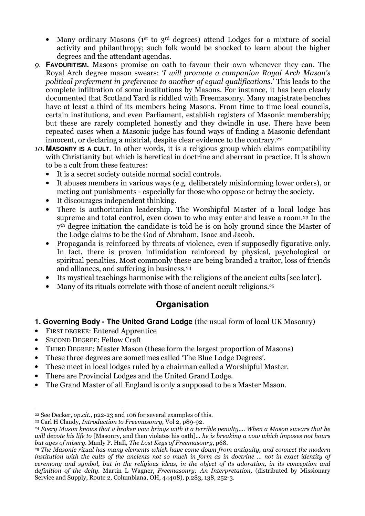- Many ordinary Masons (1<sup>st</sup> to 3<sup>rd</sup> degrees) attend Lodges for a mixture of social activity and philanthropy; such folk would be shocked to learn about the higher degrees and the attendant agendas.
- 9. **FAVOURITISM.** Masons promise on oath to favour their own whenever they can. The Royal Arch degree mason swears: 'I will promote a companion Royal Arch Mason's political preferment in preference to another of equal qualifications.' This leads to the complete infiltration of some institutions by Masons. For instance, it has been clearly documented that Scotland Yard is riddled with Freemasonry. Many magistrate benches have at least a third of its members being Masons. From time to time local councils, certain institutions, and even Parliament, establish registers of Masonic membership; but these are rarely completed honestly and they dwindle in use. There have been repeated cases when a Masonic judge has found ways of finding a Masonic defendant innocent, or declaring a mistrial, despite clear evidence to the contrary.<sup>22</sup>
- 10. **MASONRY IS A CULT**. In other words, it is a religious group which claims compatibility with Christianity but which is heretical in doctrine and aberrant in practice. It is shown to be a cult from these features:
	- It is a secret society outside normal social controls.
	- It abuses members in various ways (e.g. deliberately misinforming lower orders), or meting out punishments - especially for those who oppose or betray the society.
	- It discourages independent thinking.
	- There is authoritarian leadership. The Worshipful Master of a local lodge has supreme and total control, even down to who may enter and leave a room.23 In the 7th degree initiation the candidate is told he is on holy ground since the Master of the Lodge claims to be the God of Abraham, Isaac and Jacob.
	- Propaganda is reinforced by threats of violence, even if supposedly figurative only. In fact, there is proven intimidation reinforced by physical, psychological or spiritual penalties. Most commonly these are being branded a traitor, loss of friends and alliances, and suffering in business.<sup>24</sup>
	- Its mystical teachings harmonise with the religions of the ancient cults [see later].
	- Many of its rituals correlate with those of ancient occult religions.<sup>25</sup>

# **Organisation**

- **1. Governing Body The United Grand Lodge** (the usual form of local UK Masonry)
- FIRST DEGREE: Entered Apprentice
- SECOND DEGREE: Fellow Craft
- THIRD DEGREE: Master Mason (these form the largest proportion of Masons)
- These three degrees are sometimes called 'The Blue Lodge Degrees'.
- These meet in local lodges ruled by a chairman called a Worshipful Master.
- There are Provincial Lodges and the United Grand Lodge.
- The Grand Master of all England is only a supposed to be a Master Mason.

 $\overline{a}$ <sup>22</sup> See Decker, *op.cit.*, p22-23 and 106 for several examples of this.

<sup>23</sup> Carl H Claudy, Introduction to Freemasonry, Vol 2, p89-92.

<sup>24</sup> Every Mason knows that a broken vow brings with it a terrible penalty.... When a Mason swears that he will devote his life to [Masonry, and then violates his oath]... he is breaking a vow which imposes not hours but ages of misery. Manly P. HaIl, The Lost Keys of Freemasonry, p68.

<sup>&</sup>lt;sup>25</sup> The Masonic ritual has many elements which have come down from antiquity, and connect the modern institution with the cults of the ancients not so much in form as in doctrine … not in exact identity of ceremony and symbol, but in the religious ideas, in the object of its adoration, in its conception and definition of the deity. Martin L Wagner, Freemasonry: An Interpretation, (distributed by Missionary Service and Supply, Route 2, Columbiana, OH, 44408), p.283, 138, 252-3.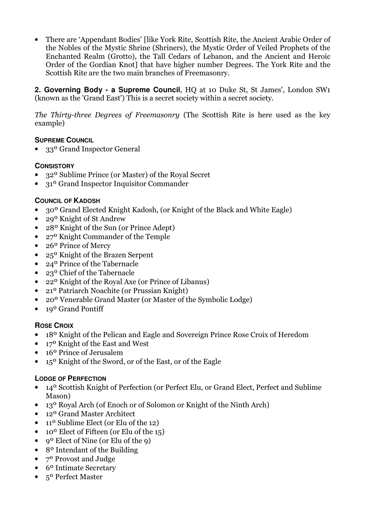• There are 'Appendant Bodies' [like York Rite, Scottish Rite, the Ancient Arabic Order of the Nobles of the Mystic Shrine (Shriners), the Mystic Order of Veiled Prophets of the Enchanted Realm (Grotto), the Tall Cedars of Lebanon, and the Ancient and Heroic Order of the Gordian Knot] that have higher number Degrees. The York Rite and the Scottish Rite are the two main branches of Freemasonry.

**2. Governing Body - a Supreme Council**, HQ at 10 Duke St, St James', London SW1 (known as the 'Grand East') This is a secret society within a secret society.

The Thirty-three Degrees of Freemasonry (The Scottish Rite is here used as the key example)

## **SUPREME COUNCIL**

• 33° Grand Inspector General

## **CONSISTORY**

- 32º Sublime Prince (or Master) of the Royal Secret
- 31º Grand Inspector Inquisitor Commander

## **COUNCIL OF KADOSH**

- 30º Grand Elected Knight Kadosh, (or Knight of the Black and White Eagle)
- 29<sup>0</sup> Knight of St Andrew
- 28º Knight of the Sun (or Prince Adept)
- 27º Knight Commander of the Temple
- 26<sup>o</sup> Prince of Mercy
- 25º Knight of the Brazen Serpent
- 24º Prince of the Tabernacle
- 23º Chief of the Tabernacle
- 22º Knight of the Royal Axe (or Prince of Libanus)
- 21º Patriarch Noachite (or Prussian Knight)
- 20º Venerable Grand Master (or Master of the Symbolic Lodge)
- 19<sup>o</sup> Grand Pontiff

## **ROSE CROIX**

- 18º Knight of the Pelican and Eagle and Sovereign Prince Rose Croix of Heredom
- 17º Knight of the East and West
- 16<sup>o</sup> Prince of Jerusalem
- 15º Knight of the Sword, or of the East, or of the Eagle

## **LODGE OF PERFECTION**

- 14<sup>0</sup> Scottish Knight of Perfection (or Perfect Elu, or Grand Elect, Perfect and Sublime Mason)
- 13<sup>o</sup> Royal Arch (of Enoch or of Solomon or Knight of the Ninth Arch)
- 12<sup>o</sup> Grand Master Architect
- 11<sup>o</sup> Sublime Elect (or Elu of the 12)
- 10º Elect of Fifteen (or Elu of the 15)
- 9<sup>o</sup> Elect of Nine (or Elu of the 9)
- 8<sup>o</sup> Intendant of the Building
- 7º Provost and Judge
- 6º Intimate Secretary
- 5º Perfect Master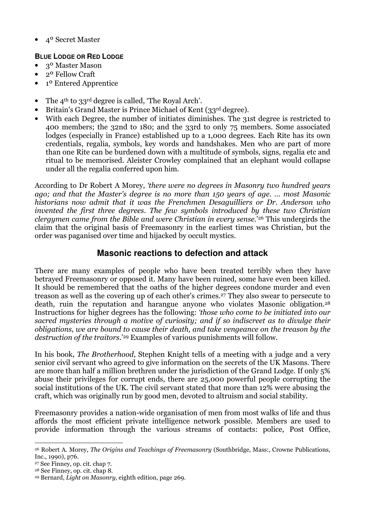• 4º Secret Master

## **BLUE LODGE OR RED LODGE**

- 3º Master Mason
- 2º Fellow Craft
- 1º Entered Apprentice
- The 4<sup>th</sup> to 33<sup>rd</sup> degree is called, 'The Royal Arch'.
- Britain's Grand Master is Prince Michael of Kent (33rd degree).
- With each Degree, the number of initiates diminishes. The 31st degree is restricted to 400 members; the 32nd to 180; and the 33rd to only 75 members. Some associated lodges (especially in France) established up to a 1,000 degrees. Each Rite has its own credentials, regalia, symbols, key words and handshakes. Men who are part of more than one Rite can be burdened down with a multitude of symbols, signs, regalia etc and ritual to be memorised. Aleister Crowley complained that an elephant would collapse under all the regalia conferred upon him.

According to Dr Robert A Morey, 'there were no degrees in Masonry two hundred years ago; and that the Master's degree is no more than 150 years of age. … most Masonic historians now admit that it was the Frenchmen Desaguilliers or Dr. Anderson who invented the first three degrees. The few symbols introduced by these two Christian clergymen came from the Bible and were Christian in every sense.' <sup>26</sup> This undergirds the claim that the original basis of Freemasonry in the earliest times was Christian, but the order was paganised over time and hijacked by occult mystics.

# **Masonic reactions to defection and attack**

There are many examples of people who have been treated terribly when they have betrayed Freemasonry or opposed it. Many have been ruined, some have even been killed. It should be remembered that the oaths of the higher degrees condone murder and even treason as well as the covering up of each other's crimes.27 They also swear to persecute to death, ruin the reputation and harangue anyone who violates Masonic obligation.<sup>28</sup> Instructions for higher degrees has the following: 'those who come to be initiated into our sacred mysteries through a motive of curiosity; and if so indiscreet as to divulge their obligations, we are bound to cause their death, and take vengeance on the treason by the destruction of the traitors.' <sup>29</sup> Examples of various punishments will follow.

In his book, *The Brotherhood*, Stephen Knight tells of a meeting with a judge and a very senior civil servant who agreed to give information on the secrets of the UK Masons. There are more than half a million brethren under the jurisdiction of the Grand Lodge. If only 5% abuse their privileges for corrupt ends, there are 25,000 powerful people corrupting the social institutions of the UK. The civil servant stated that more than 12% were abusing the craft, which was originally run by good men, devoted to altruism and social stability.

Freemasonry provides a nation-wide organisation of men from most walks of life and thus affords the most efficient private intelligence network possible. Members are used to provide information through the various streams of contacts: police, Post Office,

I <sup>26</sup> Robert A. Morey, The Origins and Teachings of Freemasonry (Southbridge, Mass:, Crowne Publications, Inc., 1990), p76.

<sup>27</sup> See Finney, op. cit. chap 7.

<sup>28</sup> See Finney, op. cit. chap 8.

<sup>29</sup> Bernard, Light on Masonry, eighth edition, page 269.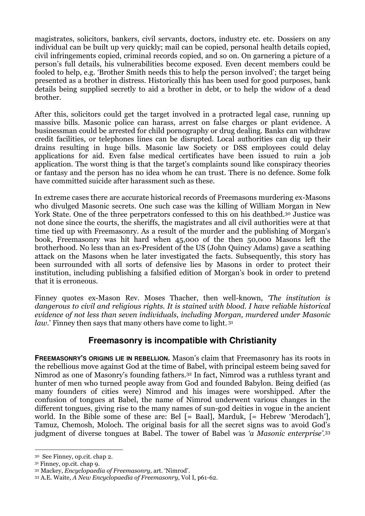magistrates, solicitors, bankers, civil servants, doctors, industry etc. etc. Dossiers on any individual can be built up very quickly; mail can be copied, personal health details copied, civil infringements copied, criminal records copied, and so on. On garnering a picture of a person's full details, his vulnerabilities become exposed. Even decent members could be fooled to help, e.g. 'Brother Smith needs this to help the person involved'; the target being presented as a brother in distress. Historically this has been used for good purposes, bank details being supplied secretly to aid a brother in debt, or to help the widow of a dead brother.

After this, solicitors could get the target involved in a protracted legal case, running up massive bills. Masonic police can harass, arrest on false charges or plant evidence. A businessman could be arrested for child pornography or drug dealing. Banks can withdraw credit facilities, or telephones lines can be disrupted. Local authorities can dig up their drains resulting in huge bills. Masonic law Society or DSS employees could delay applications for aid. Even false medical certificates have been issued to ruin a job application. The worst thing is that the target's complaints sound like conspiracy theories or fantasy and the person has no idea whom he can trust. There is no defence. Some folk have committed suicide after harassment such as these.

In extreme cases there are accurate historical records of Freemasons murdering ex-Masons who divulged Masonic secrets. One such case was the killing of William Morgan in New York State. One of the three perpetrators confessed to this on his deathbed.<sup>30</sup> Justice was not done since the courts, the sheriffs, the magistrates and all civil authorities were at that time tied up with Freemasonry. As a result of the murder and the publishing of Morgan's book, Freemasonry was hit hard when 45,000 of the then 50,000 Masons left the brotherhood. No less than an ex-President of the US (John Quincy Adams) gave a scathing attack on the Masons when he later investigated the facts. Subsequently, this story has been surrounded with all sorts of defensive lies by Masons in order to protect their institution, including publishing a falsified edition of Morgan's book in order to pretend that it is erroneous.

Finney quotes ex-Mason Rev. Moses Thacher, then well-known, 'The institution is dangerous to civil and religious rights. It is stained with blood. I have reliable historical evidence of not less than seven individuals, including Morgan, murdered under Masonic law.' Finney then says that many others have come to light.<sup>31</sup>

# **Freemasonry is incompatible with Christianity**

**FREEMASONRY'S ORIGINS LIE IN REBELLION.** Mason's claim that Freemasonry has its roots in the rebellious move against God at the time of Babel, with principal esteem being saved for Nimrod as one of Masonry's founding fathers.32 In fact, Nimrod was a ruthless tyrant and hunter of men who turned people away from God and founded Babylon. Being deified (as many founders of cities were) Nimrod and his images were worshipped. After the confusion of tongues at Babel, the name of Nimrod underwent various changes in the different tongues, giving rise to the many names of sun-god deities in vogue in the ancient world. In the Bible some of these are: Bel [= Baal], Marduk, [= Hebrew 'Merodach'], Tamuz, Chemosh, Moloch. The original basis for all the secret signs was to avoid God's judgment of diverse tongues at Babel. The tower of Babel was 'a Masonic enterprise'.<sup>33</sup>

 $\overline{a}$ 

<sup>30</sup> See Finney, op.cit. chap 2.

<sup>31</sup> Finney, op.cit. chap 9.

<sup>32</sup> Mackey, Encyclopaedia of Freemasonry, art. 'Nimrod'.

<sup>33</sup> A.E. Waite, A New Encyclopaedia of Freemasonry, Vol I, p61-62.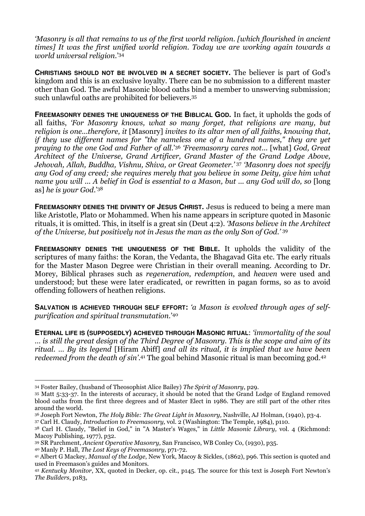'Masonry is all that remains to us of the first world religion. [which flourished in ancient times] It was the first unified world religion. Today we are working again towards a world universal religion.' 34

**CHRISTIANS SHOULD NOT BE INVOLVED IN A SECRET SOCIETY.** The believer is part of God's kingdom and this is an exclusive loyalty. There can be no submission to a different master other than God. The awful Masonic blood oaths bind a member to unswerving submission; such unlawful oaths are prohibited for believers.<sup>35</sup>

**FREEMASONRY DENIES THE UNIQUENESS OF THE BIBLICAL GOD.** In fact, it upholds the gods of all faiths, 'For Masonry knows, what so many forget, that religions are many, but religion is one...therefore, it [Masonry] invites to its altar men of all faiths, knowing that, if they use different names for "the nameless one of a hundred names," they are yet praying to the one God and Father of all.'<sup>36</sup> 'Freemasonry cares not... [what] God, Great Architect of the Universe, Grand Artificer, Grand Master of the Grand Lodge Above, Jehovah, Allah, Buddha, Vishnu, Shiva, or Great Geometer.'<sup>37</sup> 'Masonry does not specify any God of any creed; she requires merely that you believe in some Deity, give him what name you will ... A belief in God is essential to a Mason, but ... any God will do, so [long] as] he is your God.'<sup>38</sup>

**FREEMASONRY DENIES THE DIVINITY OF JESUS CHRIST.** Jesus is reduced to being a mere man like Aristotle, Plato or Mohammed. When his name appears in scripture quoted in Masonic rituals, it is omitted. This, in itself is a great sin (Deut 4:2). 'Masons believe in the Architect of the Universe, but positively not in Jesus the man as the only Son of God.' <sup>39</sup>

**FREEMASONRY DENIES THE UNIQUENESS OF THE BIBLE.** It upholds the validity of the scriptures of many faiths: the Koran, the Vedanta, the Bhagavad Gita etc. The early rituals for the Master Mason Degree were Christian in their overall meaning. According to Dr. Morey, Biblical phrases such as regeneration, redemption, and heaven were used and understood; but these were later eradicated, or rewritten in pagan forms, so as to avoid offending followers of heathen religions.

**SALVATION IS ACHIEVED THROUGH SELF EFFORT:** 'a Mason is evolved through ages of selfpurification and spiritual transmutation.'<sup>40</sup>

**ETERNAL LIFE IS (SUPPOSEDLY) ACHIEVED THROUGH MASONIC RITUAL**: 'immortality of the soul … is still the great design of the Third Degree of Masonry. This is the scope and aim of its ritual. … By its legend [Hiram Abiff] and all its ritual, it is implied that we have been redeemed from the death of sin'.<sup>41</sup> The goal behind Masonic ritual is man becoming god.<sup>42</sup>

<sup>37</sup> Carl H. Claudy, Introduction to Freemasonry, vol. 2 (Washington: The Temple, 1984), p110.

<sup>40</sup> Manly P. Hall, The Lost Keys of Freemasonry, p71-72.

 $\overline{a}$ <sup>34</sup> Foster Bailey, (husband of Theosophist Alice Bailey) The Spirit of Masonry, p29.

<sup>35</sup> Matt 5:33-37. In the interests of accuracy, it should be noted that the Grand Lodge of England removed blood oaths from the first three degrees and of Master Elect in 1986. They are still part of the other rites around the world.

<sup>36</sup> Joseph Fort Newton, The Holy Bible: The Great Light in Masonry, Nashville, AJ Holman, (1940), p3-4.

<sup>38</sup> Carl H. Claudy, "Belief in God," in "A Master's Wages," in Little Masonic Library, vol. 4 (Richmond: Macoy Publishing, 1977), p32.

<sup>39</sup> SR Parchment, Ancient Operative Masonry, San Francisco, WB Conley Co, (1930), p35.

<sup>41</sup> Albert G Mackey, Manual of the Lodge, New York, Macoy & Sickles, (1862), p96. This section is quoted and used in Freemason's guides and Monitors.

<sup>42</sup> Kentucky Monitor, XX, quoted in Decker, op. cit., p145. The source for this text is Joseph Fort Newton's The Builders, p183,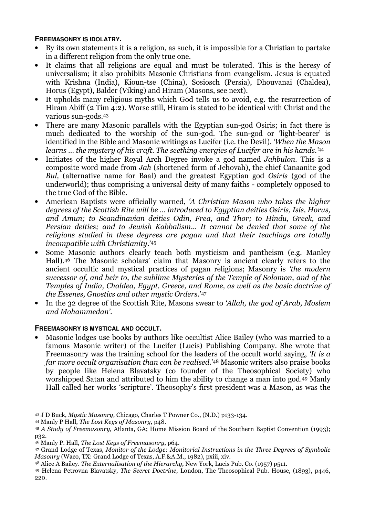## **FREEMASONRY IS IDOLATRY.**

- By its own statements it is a religion, as such, it is impossible for a Christian to partake in a different religion from the only true one.
- It claims that all religions are equal and must be tolerated. This is the heresy of universalism; it also prohibits Masonic Christians from evangelism. Jesus is equated with Krishna (India), Kioun-tse (China), Sosiosch (Persia), Dhouvanai (Chaldea), Horus (Egypt), Balder (Viking) and Hiram (Masons, see next).
- It upholds many religious myths which God tells us to avoid, e.g. the resurrection of Hiram Abiff (2 Tim 4:2). Worse still, Hiram is stated to be identical with Christ and the various sun-gods.<sup>43</sup>
- There are many Masonic parallels with the Egyptian sun-god Osiris; in fact there is much dedicated to the worship of the sun-god. The sun-god or 'light-bearer' is identified in the Bible and Masonic writings as Lucifer (i.e. the Devil). 'When the Mason learns ... the mystery of his craft. The seething energies of Lucifer are in his hands.<sup>'44</sup>
- Initiates of the higher Royal Arch Degree invoke a god named Jahbulon. This is a composite word made from Jah (shortened form of Jehovah), the chief Canaanite god Bul, (alternative name for Baal) and the greatest Egyptian god Osiris (god of the underworld); thus comprising a universal deity of many faiths - completely opposed to the true God of the Bible.
- American Baptists were officially warned, 'A Christian Mason who takes the higher degrees of the Scottish Rite will be … introduced to Egyptian deities Osiris, Isis, Horus, and Amun; to Scandinavian deities Odin, Frea, and Thor; to Hindu, Greek, and Persian deities; and to Jewish Kabbalism... It cannot be denied that some of the religions studied in these degrees are pagan and that their teachings are totally incompatible with Christianity.'<sup>45</sup>
- Some Masonic authors clearly teach both mysticism and pantheism (e.g. Manley Hall).46 The Masonic scholars' claim that Masonry is ancient clearly refers to the ancient occultic and mystical practices of pagan religions; Masonry is 'the modern successor of, and heir to, the sublime Mysteries of the Temple of Solomon, and of the Temples of India, Chaldea, Egypt, Greece, and Rome, as well as the basic doctrine of the Essenes, Gnostics and other mystic Orders.'<sup>47</sup>
- In the 32 degree of the Scottish Rite, Masons swear to 'Allah, the god of Arab, Moslem and Mohammedan'.

## **FREEMASONRY IS MYSTICAL AND OCCULT.**

• Masonic lodges use books by authors like occultist Alice Bailey (who was married to a famous Masonic writer) of the Lucifer (Lucis) Publishing Company. She wrote that Freemasonry was the training school for the leaders of the occult world saying, 'It is a far more occult organisation than can be realised.' <sup>48</sup> Masonic writers also praise books by people like Helena Blavatsky (co founder of the Theosophical Society) who worshipped Satan and attributed to him the ability to change a man into god.49 Manly Hall called her works 'scripture'. Theosophy's first president was a Mason, as was the

 $\overline{a}$ 

<sup>43</sup> J D Buck, Mystic Masonry, Chicago, Charles T Powner Co., (N.D.) p133-134.

<sup>44</sup> Manly P Hall, The Lost Keys of Masonry, p48.

<sup>45</sup> A Study of Freemasonry, Atlanta, GA; Home Mission Board of the Southern Baptist Convention (1993); p32.

<sup>46</sup> Manly P. Hall, The Lost Keys of Freemasonry, p64.

<sup>47</sup> Grand Lodge of Texas, Monitor of the Lodge: Monitorial Instructions in the Three Degrees of Symbolic Masonry (Waco, TX: Grand Lodge of Texas, A.F.&A.M., 1982), pxiii, xiv.

<sup>48</sup> Alice A Bailey. The Externalisation of the Hierarchy, New York, Lucis Pub. Co. (1957) p511.

<sup>49</sup> Helena Petrovna Blavatsky, The Secret Doctrine, London, The Theosophical Pub. House, (1893), p446, 220.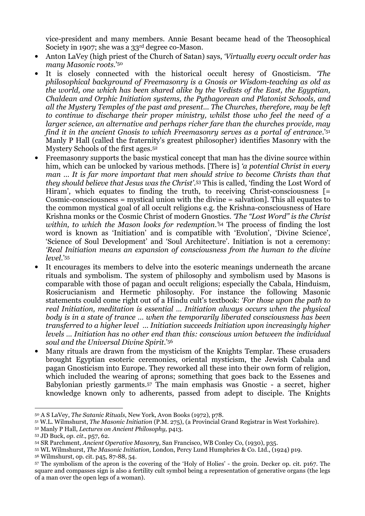vice-president and many members. Annie Besant became head of the Theosophical Society in 1907; she was a 33rd degree co-Mason.

- Anton LaVey (high priest of the Church of Satan) says, 'Virtually every occult order has many Masonic roots.' 50
- It is closely connected with the historical occult heresy of Gnosticism. The philosophical background of Freemasonry is a Gnosis or Wisdom-teaching as old as the world, one which has been shared alike by the Vedists of the East, the Egyptian, Chaldean and Orphic Initiation systems, the Pythagorean and Platonist Schools, and all the Mystery Temples of the past and present... The Churches, therefore, may be left to continue to discharge their proper ministry, whilst those who feel the need of a larger science, an alternative and perhaps richer fare than the churches provide, may find it in the ancient Gnosis to which Freemasonry serves as a portal of entrance.' 51 Manly P Hall (called the fraternity's greatest philosopher) identifies Masonry with the Mystery Schools of the first ages.<sup>52</sup>
- Freemasonry supports the basic mystical concept that man has the divine source within him, which can be unlocked by various methods. [There is] *'a potential Christ in every* man … It is far more important that men should strive to become Christs than that they should believe that Jesus was the Christ'. <sup>53</sup> This is called, 'finding the Lost Word of Hiram', which equates to finding the truth, to receiving Christ-consciousness [= Cosmic-consciousness = mystical union with the divine = salvation]. This all equates to the common mystical goal of all occult religions e.g. the Krishna-consciousness of Hare Krishna monks or the Cosmic Christ of modern Gnostics. 'The "Lost Word" is the Christ within, to which the Mason looks for redemption.<sup>'54</sup> The process of finding the lost word is known as 'Initiation' and is compatible with 'Evolution', 'Divine Science', 'Science of Soul Development' and 'Soul Architecture'. Initiation is not a ceremony: 'Real Initiation means an expansion of consciousness from the human to the divine level.'<sup>55</sup>
- It encourages its members to delve into the esoteric meanings underneath the arcane rituals and symbolism. The system of philosophy and symbolism used by Masons is comparable with those of pagan and occult religions; especially the Cabala, Hinduism, Rosicrucianism and Hermetic philosophy. For instance the following Masonic statements could come right out of a Hindu cult's textbook: 'For those upon the path to real Initiation, meditation is essential … Initiation always occurs when the physical body is in a state of trance … when the temporarily liberated consciousness has been transferred to a higher level … Initiation succeeds Initiation upon increasingly higher levels … Initiation has no other end than this: conscious union between the individual soul and the Universal Divine Spirit.' 56
- Many rituals are drawn from the mysticism of the Knights Templar. These crusaders brought Egyptian esoteric ceremonies, oriental mysticism, the Jewish Cabala and pagan Gnosticism into Europe. They reworked all these into their own form of religion, which included the wearing of aprons; something that goes back to the Essenes and Babylonian priestly garments.57 The main emphasis was Gnostic - a secret, higher knowledge known only to adherents, passed from adept to disciple. The Knights

 $\overline{a}$ 

<sup>56</sup> Wilmshurst, op. cit. p45, 87-88, 54.

<sup>50</sup> A S LaVey, The Satanic Rituals, New York, Avon Books (1972), p78.

<sup>51</sup> W.L. Wilmshurst, The Masonic Initiation (P.M. 275), (a Provincial Grand Registrar in West Yorkshire).

<sup>52</sup> Manly P Hall, Lectures on Ancient Philosophy, p413.

<sup>53</sup> JD Buck, op. cit., p57, 62.

<sup>54</sup> SR Parchment, Ancient Operative Masonry, San Francisco, WB Conley Co, (1930), p35.

<sup>55</sup> WL Wilmshurst, The Masonic Initiation, London, Percy Lund Humphries & Co. Ltd., (1924) p19.

<sup>57</sup> The symbolism of the apron is the covering of the 'Holy of Holies' - the groin. Decker op. cit. p167. The square and compasses sign is also a fertility cult symbol being a representation of generative organs (the legs of a man over the open legs of a woman).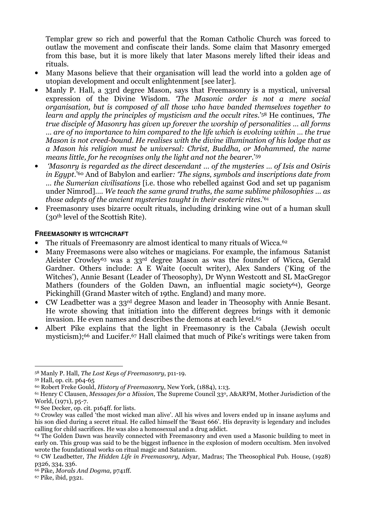Templar grew so rich and powerful that the Roman Catholic Church was forced to outlaw the movement and confiscate their lands. Some claim that Masonry emerged from this base, but it is more likely that later Masons merely lifted their ideas and rituals.

- Many Masons believe that their organisation will lead the world into a golden age of utopian development and occult enlightenment [see later].
- Manly P. Hall, a 33rd degree Mason, says that Freemasonry is a mystical, universal expression of the Divine Wisdom. 'The Masonic order is not a mere social organisation, but is composed of all those who have banded themselves together to learn and apply the principles of mysticism and the occult rites.'58 He continues, 'The true disciple of Masonry has given up forever the worship of personalities … all forms … are of no importance to him compared to the life which is evolving within … the true Mason is not creed-bound. He realises with the divine illumination of his lodge that as a Mason his religion must be universal: Christ, Buddha, or Mohammed, the name means little, for he recognises only the light and not the bearer.' 59
- 'Masonry is regarded as the direct descendant … of the mysteries … of Isis and Osiris in Egypt.'<sup>60</sup> And of Babylon and earlier: 'The signs, symbols and inscriptions date from … the Sumerian civilisations [i.e. those who rebelled against God and set up paganism under Nimrod]…. We teach the same grand truths, the same sublime philosophies … as those adepts of the ancient mysteries taught in their esoteric rites.'<sup>61</sup>
- Freemasonry uses bizarre occult rituals, including drinking wine out of a human skull (30th level of the Scottish Rite).

#### **FREEMASONRY IS WITCHCRAFT**

- The rituals of Freemasonry are almost identical to many rituals of Wicca.<sup>62</sup>
- Many Freemasons were also witches or magicians. For example, the infamous Satanist Aleister Crowley<sup>63</sup> was a 33<sup>rd</sup> degree Mason as was the founder of Wicca, Gerald Gardner. Others include: A E Waite (occult writer), Alex Sanders ('King of the Witches'), Annie Besant (Leader of Theosophy), Dr Wynn Westcott and SL MacGregor Mathers (founders of the Golden Dawn, an influential magic society<sup>64</sup>), George Pickinghill (Grand Master witch of 19thc. England) and many more.
- CW Leadbetter was a 33<sup>rd</sup> degree Mason and leader in Theosophy with Annie Besant. He wrote showing that initiation into the different degrees brings with it demonic invasion. He even names and describes the demons at each level.<sup>65</sup>
- Albert Pike explains that the light in Freemasonry is the Cabala (Jewish occult mysticism);66 and Lucifer.67 Hall claimed that much of Pike's writings were taken from

 $\overline{a}$ 

<sup>58</sup> Manly P. Hall, The Lost Keys of Freemasonry, p11-19.

<sup>59</sup> Hall, op. cit. p64-65

<sup>60</sup> Robert Freke Gould, History of Freemasonry, New York, (1884), 1:13.

 $61$  Henry C Clausen, *Messages for a Mission*, The Supreme Council 33<sup>0</sup>, A&ARFM, Mother Jurisdiction of the World, (1971), p5-7.

<sup>62</sup> See Decker, op. cit. p164ff. for lists.

<sup>63</sup> Crowley was called 'the most wicked man alive'. All his wives and lovers ended up in insane asylums and his son died during a secret ritual. He called himself the 'Beast 666'. His depravity is legendary and includes calling for child sacrifices. He was also a homosexual and a drug addict.

<sup>64</sup> The Golden Dawn was heavily connected with Freemasonry and even used a Masonic building to meet in early on. This group was said to be the biggest influence in the explosion of modern occultism. Men involved wrote the foundational works on ritual magic and Satanism.

<sup>65</sup> CW Leadbetter, The Hidden Life in Freemasonry, Adyar, Madras; The Theosophical Pub. House, (1928) p326, 334, 336.

<sup>66</sup> Pike, Morals And Dogma, p741ff.

<sup>67</sup> Pike, ibid, p321.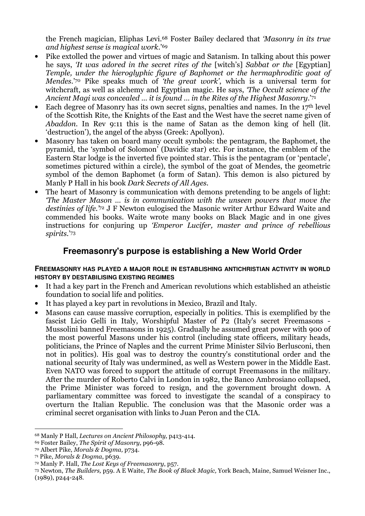the French magician, Eliphas Levi.68 Foster Bailey declared that 'Masonry in its true and highest sense is magical work.'<sup>69</sup>

- Pike extolled the power and virtues of magic and Satanism. In talking about this power he says, 'It was adored in the secret rites of the [witch's] Sabbat or the [Egyptian] Temple, under the hieroglyphic figure of Baphomet or the hermaphroditic goat of Mendes.'70 Pike speaks much of 'the great work', which is a universal term for witchcraft, as well as alchemy and Egyptian magic. He says, *The Occult science of the* Ancient Magi was concealed … it is found … in the Rites of the Highest Masonry.'<sup>71</sup>
- Each degree of Masonry has its own secret signs, penalties and names. In the  $17<sup>th</sup>$  level of the Scottish Rite, the Knights of the East and the West have the secret name given of Abaddon. In Rev 9:11 this is the name of Satan as the demon king of hell (lit. 'destruction'), the angel of the abyss (Greek: Apollyon).
- Masonry has taken on board many occult symbols: the pentagram, the Baphomet, the pyramid, the 'symbol of Solomon' (Davidic star) etc. For instance, the emblem of the Eastern Star lodge is the inverted five pointed star. This is the pentagram (or 'pentacle', sometimes pictured within a circle), the symbol of the goat of Mendes, the geometric symbol of the demon Baphomet (a form of Satan). This demon is also pictured by Manly P Hall in his book Dark Secrets of All Ages.
- The heart of Masonry is communication with demons pretending to be angels of light: 'The Master Mason … is in communication with the unseen powers that move the destinies of life.<sup>72</sup> J F Newton eulogised the Masonic writer Arthur Edward Waite and commended his books. Waite wrote many books on Black Magic and in one gives instructions for conjuring up 'Emperor Lucifer, master and prince of rebellious spirits.' 73

## **Freemasonry's purpose is establishing a New World Order**

#### **FREEMASONRY HAS PLAYED A MAJOR ROLE IN ESTABLISHING ANTICHRISTIAN ACTIVITY IN WORLD HISTORY BY DESTABILISING EXISTING REGIMES**

- It had a key part in the French and American revolutions which established an atheistic foundation to social life and politics.
- It has played a key part in revolutions in Mexico, Brazil and Italy.
- Masons can cause massive corruption, especially in politics. This is exemplified by the fascist Licio Gelli in Italy, Worshipful Master of P2 (Italy's secret Freemasons - Mussolini banned Freemasons in 1925). Gradually he assumed great power with 900 of the most powerful Masons under his control (including state officers, military heads, politicians, the Prince of Naples and the current Prime Minister Silvio Berlusconi, then not in politics). His goal was to destroy the country's constitutional order and the national security of Italy was undermined, as well as Western power in the Middle East. Even NATO was forced to support the attitude of corrupt Freemasons in the military. After the murder of Roberto Calvi in London in 1982, the Banco Ambrosiano collapsed, the Prime Minister was forced to resign, and the government brought down. A parliamentary committee was forced to investigate the scandal of a conspiracy to overturn the Italian Republic. The conclusion was that the Masonic order was a criminal secret organisation with links to Juan Peron and the CIA.

 $\overline{a}$ <sup>68</sup> Manly P Hall, Lectures on Ancient Philosophy, p413-414.

<sup>69</sup> Foster Bailey, The Spirit of Masonry, p96-98.

<sup>70</sup> Albert Pike, Morals & Dogma, p734.

<sup>71</sup> Pike, Morals & Dogma, p639.

<sup>72</sup> Manly P. Hall, The Lost Keys of Freemasonry, p57.

<sup>73</sup> Newton, The Builders, p59. A E Waite, The Book of Black Magic, York Beach, Maine, Samuel Weisner Inc., (1989), p244-248.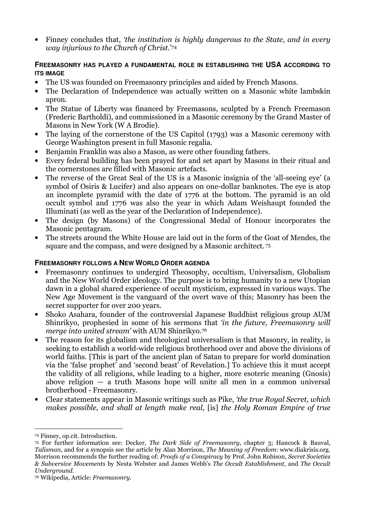Finney concludes that, 'the institution is highly dangerous to the State, and in every way injurious to the Church of Christ.'<sup>74</sup>

#### **FREEMASONRY HAS PLAYED A FUNDAMENTAL ROLE IN ESTABLISHING THE USA ACCORDING TO ITS IMAGE**

- The US was founded on Freemasonry principles and aided by French Masons.
- The Declaration of Independence was actually written on a Masonic white lambskin apron.
- The Statue of Liberty was financed by Freemasons, sculpted by a French Freemason (Frederic Bartholdi), and commissioned in a Masonic ceremony by the Grand Master of Masons in New York (W A Brodie).
- The laying of the cornerstone of the US Capitol (1793) was a Masonic ceremony with George Washington present in full Masonic regalia.
- Benjamin Franklin was also a Mason, as were other founding fathers.
- Every federal building has been prayed for and set apart by Masons in their ritual and the cornerstones are filled with Masonic artefacts.
- The reverse of the Great Seal of the US is a Masonic insignia of the 'all-seeing eye' (a symbol of Osiris & Lucifer) and also appears on one-dollar banknotes. The eye is atop an incomplete pyramid with the date of 1776 at the bottom. The pyramid is an old occult symbol and 1776 was also the year in which Adam Weishaupt founded the Illuminati (as well as the year of the Declaration of Independence).
- The design (by Masons) of the Congressional Medal of Honour incorporates the Masonic pentagram.
- The streets around the White House are laid out in the form of the Goat of Mendes, the square and the compass, and were designed by a Masonic architect.<sup>75</sup>

## **FREEMASONRY FOLLOWS A NEW WORLD ORDER AGENDA**

- Freemasonry continues to undergird Theosophy, occultism, Universalism, Globalism and the New World Order ideology. The purpose is to bring humanity to a new Utopian dawn in a global shared experience of occult mysticism, expressed in various ways. The New Age Movement is the vanguard of the overt wave of this; Masonry has been the secret supporter for over 200 years.
- Shoko Asahara, founder of the controversial Japanese Buddhist religious group AUM Shinrikyo, prophesied in some of his sermons that 'in the future, Freemasonry will merge into united stream' with AUM Shinrikyo.<sup>76</sup>
- The reason for its globalism and theological universalism is that Masonry, in reality, is seeking to establish a world-wide religious brotherhood over and above the divisions of world faiths. [This is part of the ancient plan of Satan to prepare for world domination via the 'false prophet' and 'second beast' of Revelation.] To achieve this it must accept the validity of all religions, while leading to a higher, more esoteric meaning (Gnosis) above religion  $-$  a truth Masons hope will unite all men in a common universal brotherhood - Freemasonry.
- Clear statements appear in Masonic writings such as Pike, 'the true Royal Secret, which makes possible, and shall at length make real, [is] the Holy Roman Empire of true

 $\overline{a}$ <sup>74</sup> Finney, op.cit. Introduction.

<sup>75</sup> For further information see: Decker, The Dark Side of Freemasonry, chapter 3; Hancock & Bauval, Talisman, and for a synopsis see the article by Alan Morrison, The Meaning of Freedom: www.diakrisis.org. Morrison recommends the further reading of: Proofs of a Conspiracy by Prof. John Robison, Secret Societies & Subversive Movements by Nesta Webster and James Webb's The Occult Establishment, and The Occult Underground.

<sup>76</sup> Wikipedia, Article: Freemasonry.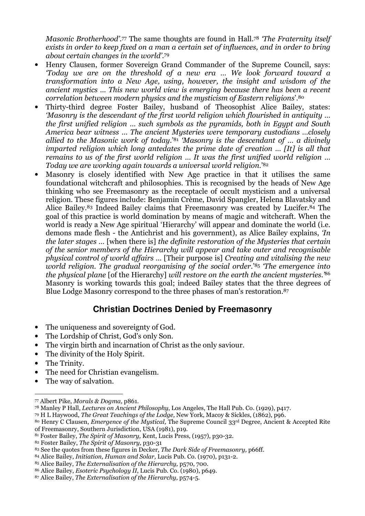Masonic Brotherhood'.77 The same thoughts are found in Hall.78 *'The Fraternity itself* exists in order to keep fixed on a man a certain set of influences, and in order to bring about certain changes in the world'. 79

- Henry Clausen, former Sovereign Grand Commander of the Supreme Council, says: 'Today we are on the threshold of a new era … We look forward toward a transformation into a New Age, using, however, the insight and wisdom of the ancient mystics … This new world view is emerging because there has been a recent correlation between modern physics and the mysticism of Eastern religions'.<sup>80</sup>
- Thirty-third degree Foster Bailey, husband of Theosophist Alice Bailey, states: 'Masonry is the descendant of the first world religion which flourished in antiquity … the first unified religion … such symbols as the pyramids, both in Egypt and South America bear witness … The ancient Mysteries were temporary custodians …closely allied to the Masonic work of today.'<sup>81</sup> 'Masonry is the descendant of ... a divinely imparted religion which long antedates the prime date of creation … [It] is all that remains to us of the first world religion … It was the first unified world religion … Today we are working again towards a universal world religion.' 82
- Masonry is closely identified with New Age practice in that it utilises the same foundational witchcraft and philosophies. This is recognised by the heads of New Age thinking who see Freemasonry as the receptacle of occult mysticism and a universal religion. These figures include: Benjamin Crème, David Spangler, Helena Blavatsky and Alice Bailey.83 Indeed Bailey claims that Freemasonry was created by Lucifer.84 The goal of this practice is world domination by means of magic and witchcraft. When the world is ready a New Age spiritual 'Hierarchy' will appear and dominate the world (i.e. demons made flesh - the Antichrist and his government), as Alice Bailey explains, 'In the later stages … [when there is] the definite restoration of the Mysteries that certain of the senior members of the Hierarchy will appear and take outer and recognisable physical control of world affairs … [Their purpose is] Creating and vitalising the new world religion. The gradual reorganising of the social order.' <sup>85</sup> 'The emergence into the physical plane [of the Hierarchy] will restore on the earth the ancient mysteries.<sup>86</sup> Masonry is working towards this goal; indeed Bailey states that the three degrees of Blue Lodge Masonry correspond to the three phases of man's restoration.<sup>87</sup>

# **Christian Doctrines Denied by Freemasonry**

- The uniqueness and sovereignty of God.
- The Lordship of Christ, God's only Son.
- The virgin birth and incarnation of Christ as the only saviour.
- The divinity of the Holy Spirit.
- The Trinity.
- The need for Christian evangelism.
- The way of salvation.

- <sup>79</sup> H L Haywood, The Great Teachings of the Lodge, New York, Macoy & Sickles, (1862), p96.
- 80 Henry C Clausen, *Emergence of the Mystical*, The Supreme Council 33rd Degree, Ancient & Accepted Rite of Freemasonry, Southern Jurisdiction, USA (1981), p19.

- <sup>84</sup> Alice Bailey, Initiation, Human and Solar, Lucis Pub. Co. (1970), p131-2.
- <sup>85</sup> Alice Bailey, The Externalisation of the Hierarchy, p570, 700.

 $\overline{a}$ <sup>77</sup> Albert Pike, Morals & Dogma, p861.

<sup>78</sup> Manley P Hall, Lectures on Ancient Philosophy, Los Angeles, The Hall Pub. Co. (1929), p417.

<sup>81</sup> Foster Bailey, The Spirit of Masonry, Kent, Lucis Press, (1957), p30-32.

<sup>82</sup> Foster Bailey, The Spirit of Masonry, p30-31

<sup>83</sup> See the quotes from these figures in Decker, The Dark Side of Freemasonry, p66ff.

<sup>86</sup> Alice Bailey, Esoteric Psychology II, Lucis Pub. Co. (1980), p649.

<sup>87</sup> Alice Bailey, The Externalisation of the Hierarchy, p574-5.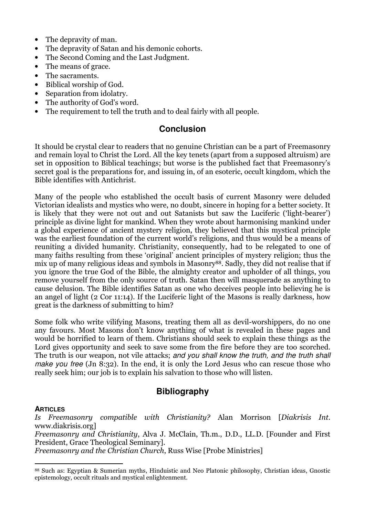- The depravity of man.
- The depravity of Satan and his demonic cohorts.
- The Second Coming and the Last Judgment.
- The means of grace.
- The sacraments.
- Biblical worship of God.
- Separation from idolatry.
- The authority of God's word.
- The requirement to tell the truth and to deal fairly with all people.

## **Conclusion**

It should be crystal clear to readers that no genuine Christian can be a part of Freemasonry and remain loyal to Christ the Lord. All the key tenets (apart from a supposed altruism) are set in opposition to Biblical teachings; but worse is the published fact that Freemasonry's secret goal is the preparations for, and issuing in, of an esoteric, occult kingdom, which the Bible identifies with Antichrist.

Many of the people who established the occult basis of current Masonry were deluded Victorian idealists and mystics who were, no doubt, sincere in hoping for a better society. It is likely that they were not out and out Satanists but saw the Luciferic ('light-bearer') principle as divine light for mankind. When they wrote about harmonising mankind under a global experience of ancient mystery religion, they believed that this mystical principle was the earliest foundation of the current world's religions, and thus would be a means of reuniting a divided humanity. Christianity, consequently, had to be relegated to one of many faiths resulting from these 'original' ancient principles of mystery religion; thus the mix up of many religious ideas and symbols in Masonry<sup>88</sup>. Sadly, they did not realise that if you ignore the true God of the Bible, the almighty creator and upholder of all things, you remove yourself from the only source of truth. Satan then will masquerade as anything to cause delusion. The Bible identifies Satan as one who deceives people into believing he is an angel of light (2 Cor 11:14). If the Luciferic light of the Masons is really darkness, how great is the darkness of submitting to him?

Some folk who write vilifying Masons, treating them all as devil-worshippers, do no one any favours. Most Masons don't know anything of what is revealed in these pages and would be horrified to learn of them. Christians should seek to explain these things as the Lord gives opportunity and seek to save some from the fire before they are too scorched. The truth is our weapon, not vile attacks; and you shall know the truth, and the truth shall make you free (Jn 8:32). In the end, it is only the Lord Jesus who can rescue those who really seek him; our job is to explain his salvation to those who will listen.

# **Bibliography**

#### **ARTICLES**

Is Freemasonry compatible with Christianity? Alan Morrison [Diakrisis Int. www.diakrisis.org]

Freemasonry and Christianity, Alva J. McClain, Th.m., D.D., LL.D. [Founder and First President, Grace Theological Seminary].

Freemasonry and the Christian Church, Russ Wise [Probe Ministries]

 $\overline{a}$ <sup>88</sup> Such as: Egyptian & Sumerian myths, Hinduistic and Neo Platonic philosophy, Christian ideas, Gnostic epistemology, occult rituals and mystical enlightenment.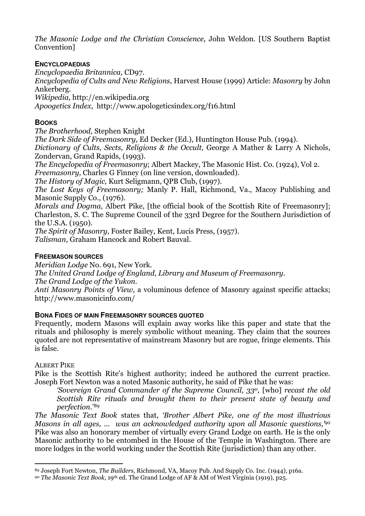The Masonic Lodge and the Christian Conscience, John Weldon. [US Southern Baptist Convention]

#### **ENCYCLOPAEDIAS**

Encyclopaedia Britannica, CD97.

Encyclopedia of Cults and New Religions, Harvest House (1999) Article: Masonry by John Ankerberg.

Wikipedia, http://en.wikipedia.org

Apoogetics Index, http://www.apologeticsindex.org/f16.html

#### **BOOKS**

The Brotherhood, Stephen Knight

The Dark Side of Freemasonry, Ed Decker (Ed.), Huntington House Pub. (1994).

Dictionary of Cults, Sects, Religions & the Occult, George A Mather & Larry A Nichols, Zondervan, Grand Rapids, (1993).

The Encyclopedia of Freemasonry; Albert Mackey, The Masonic Hist. Co. (1924), Vol 2.

Freemasonry, Charles G Finney (on line version, downloaded).

The History of Magic, Kurt Seligmann, QPB Club, (1997).

The Lost Keys of Freemasonry; Manly P. Hall, Richmond, Va., Macoy Publishing and Masonic Supply Co., (1976).

Morals and Dogma, Albert Pike, [the official book of the Scottish Rite of Freemasonry]: Charleston, S. C. The Supreme Council of the 33rd Degree for the Southern Jurisdiction of the U.S.A. (1950).

The Spirit of Masonry, Foster Bailey, Kent, Lucis Press, (1957).

Talisman, Graham Hancock and Robert Bauval.

#### **FREEMASON SOURCES**

Meridian Lodge No. 691, New York.

The United Grand Lodge of England, Library and Museum of Freemasonry.

The Grand Lodge of the Yukon.

Anti Masonry Points of View, a voluminous defence of Masonry against specific attacks; http://www.masonicinfo.com/

#### **BONA FIDES OF MAIN FREEMASONRY SOURCES QUOTED**

Frequently, modern Masons will explain away works like this paper and state that the rituals and philosophy is merely symbolic without meaning. They claim that the sources quoted are not representative of mainstream Masonry but are rogue, fringe elements. This is false.

#### ALBERT PIKE

Pike is the Scottish Rite's highest authority; indeed he authored the current practice. Joseph Fort Newton was a noted Masonic authority, he said of Pike that he was:

'Sovereign Grand Commander of the Supreme Council, 330, [who] recast the old Scottish Rite rituals and brought them to their present state of beauty and perfection.'<sup>89</sup>

The Masonic Text Book states that, 'Brother Albert Pike, one of the most illustrious Masons in all ages, ... was an acknowledged authority upon all Masonic questions,<sup>30</sup> Pike was also an honorary member of virtually every Grand Lodge on earth. He is the only Masonic authority to be entombed in the House of the Temple in Washington. There are more lodges in the world working under the Scottish Rite (jurisdiction) than any other.

 $\overline{a}$ 89 Joseph Fort Newton, The Builders, Richmond, VA, Macoy Pub. And Supply Co. Inc. (1944), p16a.

<sup>90</sup> The Masonic Text Book, 19th ed. The Grand Lodge of AF & AM of West Virginia (1919), p25.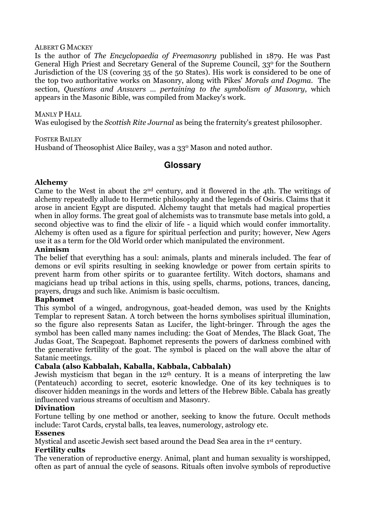#### ALBERT G MACKEY

Is the author of The Encyclopaedia of Freemasonry published in 1879. He was Past General High Priest and Secretary General of the Supreme Council, 330 for the Southern Jurisdiction of the US (covering 35 of the 50 States). His work is considered to be one of the top two authoritative works on Masonry, along with Pikes' Morals and Dogma. The section, Questions and Answers … pertaining to the symbolism of Masonry, which appears in the Masonic Bible, was compiled from Mackey's work.

#### MANLY P HALL

Was eulogised by the Scottish Rite Journal as being the fraternity's greatest philosopher.

#### FOSTER BAILEY

Husband of Theosophist Alice Bailey, was a 33° Mason and noted author.

## **Glossary**

#### Alchemy

Came to the West in about the 2nd century, and it flowered in the 4th. The writings of alchemy repeatedly allude to Hermetic philosophy and the legends of Osiris. Claims that it arose in ancient Egypt are disputed. Alchemy taught that metals had magical properties when in alloy forms. The great goal of alchemists was to transmute base metals into gold, a second objective was to find the elixir of life - a liquid which would confer immortality. Alchemy is often used as a figure for spiritual perfection and purity; however, New Agers use it as a term for the Old World order which manipulated the environment.

#### Animism

The belief that everything has a soul: animals, plants and minerals included. The fear of demons or evil spirits resulting in seeking knowledge or power from certain spirits to prevent harm from other spirits or to guarantee fertility. Witch doctors, shamans and magicians head up tribal actions in this, using spells, charms, potions, trances, dancing, prayers, drugs and such like. Animism is basic occultism.

#### Baphomet

This symbol of a winged, androgynous, goat-headed demon, was used by the Knights Templar to represent Satan. A torch between the horns symbolises spiritual illumination, so the figure also represents Satan as Lucifer, the light-bringer. Through the ages the symbol has been called many names including: the Goat of Mendes, The Black Goat, The Judas Goat, The Scapegoat. Baphomet represents the powers of darkness combined with the generative fertility of the goat. The symbol is placed on the wall above the altar of Satanic meetings.

#### Cabala (also Kabbalah, Kaballa, Kabbala, Cabbalah)

Jewish mysticism that began in the 12<sup>th</sup> century. It is a means of interpreting the law (Pentateuch) according to secret, esoteric knowledge. One of its key techniques is to discover hidden meanings in the words and letters of the Hebrew Bible. Cabala has greatly influenced various streams of occultism and Masonry.

#### Divination

Fortune telling by one method or another, seeking to know the future. Occult methods include: Tarot Cards, crystal balls, tea leaves, numerology, astrology etc.

#### Essenes

Mystical and ascetic Jewish sect based around the Dead Sea area in the 1st century.

#### Fertility cults

The veneration of reproductive energy. Animal, plant and human sexuality is worshipped, often as part of annual the cycle of seasons. Rituals often involve symbols of reproductive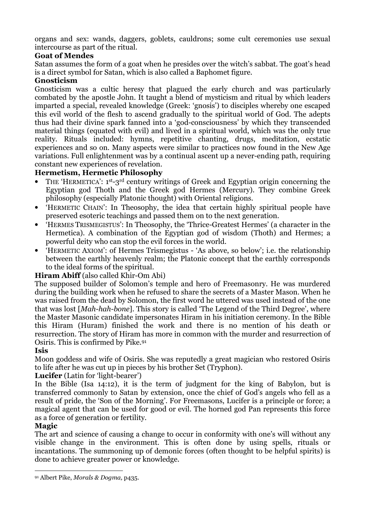organs and sex: wands, daggers, goblets, cauldrons; some cult ceremonies use sexual intercourse as part of the ritual.

## Goat of Mendes

Satan assumes the form of a goat when he presides over the witch's sabbat. The goat's head is a direct symbol for Satan, which is also called a Baphomet figure.

## Gnosticism

Gnosticism was a cultic heresy that plagued the early church and was particularly combated by the apostle John. It taught a blend of mysticism and ritual by which leaders imparted a special, revealed knowledge (Greek: 'gnosis') to disciples whereby one escaped this evil world of the flesh to ascend gradually to the spiritual world of God. The adepts thus had their divine spark fanned into a 'god-consciousness' by which they transcended material things (equated with evil) and lived in a spiritual world, which was the only true reality. Rituals included: hymns, repetitive chanting, drugs, meditation, ecstatic experiences and so on. Many aspects were similar to practices now found in the New Age variations. Full enlightenment was by a continual ascent up a never-ending path, requiring constant new experiences of revelation.

## Hermetism, Hermetic Philosophy

- THE 'HERMETICA': 1<sup>st</sup>-3<sup>rd</sup> century writings of Greek and Egyptian origin concerning the Egyptian god Thoth and the Greek god Hermes (Mercury). They combine Greek philosophy (especially Platonic thought) with Oriental religions.
- 'HERMETIC CHAIN': In Theosophy, the idea that certain highly spiritual people have preserved esoteric teachings and passed them on to the next generation.
- 'HERMES TRISMEGISTUS': In Theosophy, the 'Thrice-Greatest Hermes' (a character in the Hermetica). A combination of the Egyptian god of wisdom (Thoth) and Hermes; a powerful deity who can stop the evil forces in the world.
- 'HERMETIC AXIOM': of Hermes Trismegistus 'As above, so below'; i.e. the relationship between the earthly heavenly realm; the Platonic concept that the earthly corresponds to the ideal forms of the spiritual.

## Hiram Abiff (also called Khir-Om Abi)

The supposed builder of Solomon's temple and hero of Freemasonry. He was murdered during the building work when he refused to share the secrets of a Master Mason. When he was raised from the dead by Solomon, the first word he uttered was used instead of the one that was lost [Mah-hah-bone]. This story is called 'The Legend of the Third Degree', where the Master Masonic candidate impersonates Hiram in his initiation ceremony. In the Bible this Hiram (Huram) finished the work and there is no mention of his death or resurrection. The story of Hiram has more in common with the murder and resurrection of Osiris. This is confirmed by Pike.<sup>91</sup>

## Isis

Moon goddess and wife of Osiris. She was reputedly a great magician who restored Osiris to life after he was cut up in pieces by his brother Set (Tryphon).

## Lucifer (Latin for 'light-bearer')

In the Bible (Isa 14:12), it is the term of judgment for the king of Babylon, but is transferred commonly to Satan by extension, once the chief of God's angels who fell as a result of pride, the 'Son of the Morning'. For Freemasons, Lucifer is a principle or force; a magical agent that can be used for good or evil. The horned god Pan represents this force as a force of generation or fertility.

## Magic

The art and science of causing a change to occur in conformity with one's will without any visible change in the environment. This is often done by using spells, rituals or incantations. The summoning up of demonic forces (often thought to be helpful spirits) is done to achieve greater power or knowledge.

 $\overline{a}$ 91 Albert Pike, Morals & Dogma, p435.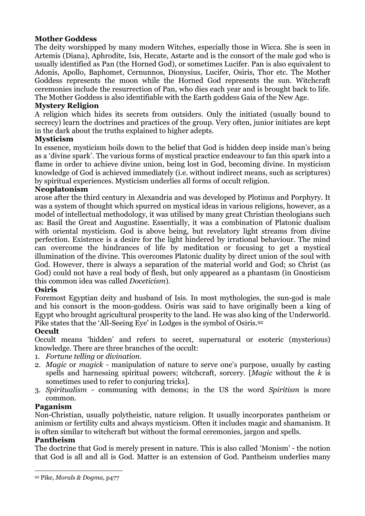## Mother Goddess

The deity worshipped by many modern Witches, especially those in Wicca. She is seen in Artemis (Diana), Aphrodite, Isis, Hecate, Astarte and is the consort of the male god who is usually identified as Pan (the Horned God), or sometimes Lucifer. Pan is also equivalent to Adonis, Apollo, Baphomet, Cernunnos, Dionysius, Lucifer, Osiris, Thor etc. The Mother Goddess represents the moon while the Horned God represents the sun. Witchcraft ceremonies include the resurrection of Pan, who dies each year and is brought back to life. The Mother Goddess is also identifiable with the Earth goddess Gaia of the New Age.

## Mystery Religion

A religion which hides its secrets from outsiders. Only the initiated (usually bound to secrecy) learn the doctrines and practices of the group. Very often, junior initiates are kept in the dark about the truths explained to higher adepts.

## Mysticism

In essence, mysticism boils down to the belief that God is hidden deep inside man's being as a 'divine spark'. The various forms of mystical practice endeavour to fan this spark into a flame in order to achieve divine union, being lost in God, becoming divine. In mysticism knowledge of God is achieved immediately (i.e. without indirect means, such as scriptures) by spiritual experiences. Mysticism underlies all forms of occult religion.

## Neoplatonism

arose after the third century in Alexandria and was developed by Plotinus and Porphyry. It was a system of thought which spurred on mystical ideas in various religions, however, as a model of intellectual methodology, it was utilised by many great Christian theologians such as: Basil the Great and Augustine. Essentially, it was a combination of Platonic dualism with oriental mysticism. God is above being, but revelatory light streams from divine perfection. Existence is a desire for the light hindered by irrational behaviour. The mind can overcome the hindrances of life by meditation or focusing to get a mystical illumination of the divine. This overcomes Platonic duality by direct union of the soul with God. However, there is always a separation of the material world and God; so Christ (as God) could not have a real body of flesh, but only appeared as a phantasm (in Gnosticism this common idea was called Doceticism).

#### **Osiris**

Foremost Egyptian deity and husband of Isis. In most mythologies, the sun-god is male and his consort is the moon-goddess. Osiris was said to have originally been a king of Egypt who brought agricultural prosperity to the land. He was also king of the Underworld. Pike states that the 'All-Seeing Eye' in Lodges is the symbol of Osiris.<sup>92</sup>

## **Occult**

Occult means 'hidden' and refers to secret, supernatural or esoteric (mysterious) knowledge. There are three branches of the occult:

- 1. Fortune telling or divination.
- 2. Magic or magick manipulation of nature to serve one's purpose, usually by casting spells and harnessing spiritual powers; witchcraft, sorcery. [Magic without the  $k$  is sometimes used to refer to conjuring tricks].
- 3. Spiritualism communing with demons; in the US the word Spiritism is more common.

## Paganism

Non-Christian, usually polytheistic, nature religion. It usually incorporates pantheism or animism or fertility cults and always mysticism. Often it includes magic and shamanism. It is often similar to witchcraft but without the formal ceremonies, jargon and spells.

#### Pantheism

The doctrine that God is merely present in nature. This is also called 'Monism' - the notion that God is all and all is God. Matter is an extension of God. Pantheism underlies many

 $\overline{a}$ 92 Pike, Morals & Dogma, p477